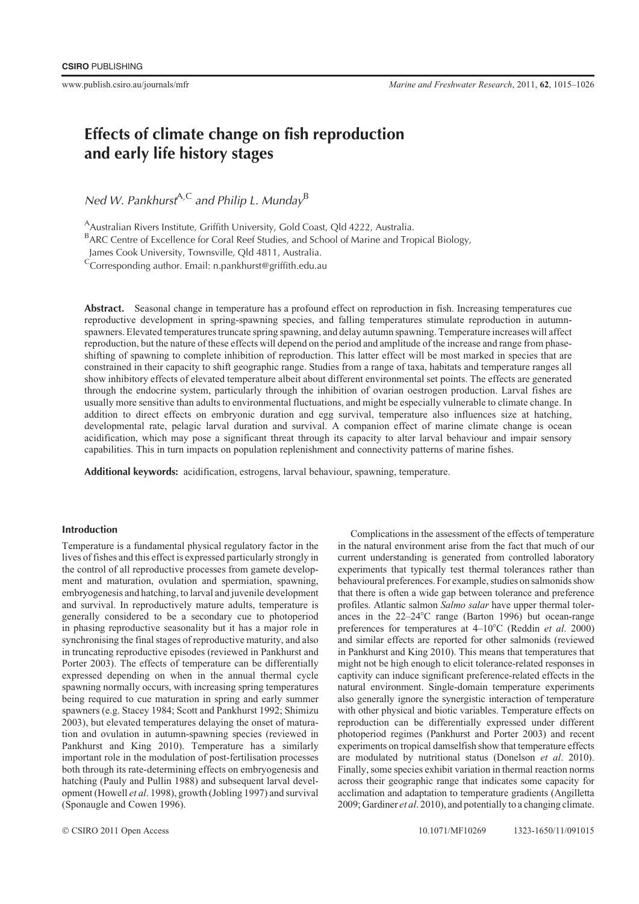# Effects of climate change on fish reproduction and early life history stages

Ned W. Pankhurst<sup>A,C</sup> and Philip L. Munday<sup>B</sup>

Australian Rivers Institute, Griffith University, Gold Coast, Qld 4222, Australia.

<sup>B</sup>ARC Centre of Excellence for Coral Reef Studies, and School of Marine and Tropical Biology,

James Cook University, Townsville, Qld 4811, Australia.

 $c$ Corresponding author. Email: n.pankhurst@griffith.edu.au

Abstract. Seasonal change in temperature has a profound effect on reproduction in fish. Increasing temperatures cue reproductive development in spring-spawning species, and falling temperatures stimulate reproduction in autumnspawners. Elevated temperatures truncate spring spawning, and delay autumn spawning. Temperature increases will affect reproduction, but the nature of these effects will depend on the period and amplitude of the increase and range from phaseshifting of spawning to complete inhibition of reproduction. This latter effect will be most marked in species that are constrained in their capacity to shift geographic range. Studies from a range of taxa, habitats and temperature ranges all show inhibitory effects of elevated temperature albeit about different environmental set points. The effects are generated through the endocrine system, particularly through the inhibition of ovarian oestrogen production. Larval fishes are usually more sensitive than adults to environmental fluctuations, and might be especially vulnerable to climate change. In addition to direct effects on embryonic duration and egg survival, temperature also influences size at hatching, developmental rate, pelagic larval duration and survival. A companion effect of marine climate change is ocean acidification, which may pose a significant threat through its capacity to alter larval behaviour and impair sensory capabilities. This in turn impacts on population replenishment and connectivity patterns of marine fishes.

Additional keywords: acidification, estrogens, larval behaviour, spawning, temperature.

#### Introduction

Temperature is a fundamental physical regulatory factor in the lives of fishes and this effect is expressed particularly strongly in the control of all reproductive processes from gamete development and maturation, ovulation and spermiation, spawning, embryogenesis and hatching, to larval and juvenile development and survival. In reproductively mature adults, temperature is generally considered to be a secondary cue to photoperiod in phasing reproductive seasonality but it has a major role in synchronising the final stages of reproductive maturity, and also in truncating reproductive episodes (reviewed in Pankhurst and Porter 2003). The effects of temperature can be differentially expressed depending on when in the annual thermal cycle spawning normally occurs, with increasing spring temperatures being required to cue maturation in spring and early summer spawners (e.g. Stacey 1984; Scott and Pankhurst 1992; Shimizu 2003), but elevated temperatures delaying the onset of maturation and ovulation in autumn-spawning species (reviewed in Pankhurst and King 2010). Temperature has a similarly important role in the modulation of post-fertilisation processes both through its rate-determining effects on embryogenesis and hatching (Pauly and Pullin 1988) and subsequent larval development (Howell *et al*. 1998), growth (Jobling 1997) and survival (Sponaugle and Cowen 1996).

Complications in the assessment of the effects of temperature in the natural environment arise from the fact that much of our current understanding is generated from controlled laboratory experiments that typically test thermal tolerances rather than behavioural preferences. For example, studies on salmonids show that there is often a wide gap between tolerance and preference profiles. Atlantic salmon *Salmo salar* have upper thermal tolerances in the  $22-24$ °C range (Barton 1996) but ocean-range preferences for temperatures at 4–10°C (Reddin *et al.* 2000) and similar effects are reported for other salmonids (reviewed in Pankhurst and King 2010). This means that temperatures that might not be high enough to elicit tolerance-related responses in captivity can induce significant preference-related effects in the natural environment. Single-domain temperature experiments also generally ignore the synergistic interaction of temperature with other physical and biotic variables. Temperature effects on reproduction can be differentially expressed under different photoperiod regimes (Pankhurst and Porter 2003) and recent experiments on tropical damselfish show that temperature effects are modulated by nutritional status (Donelson *et al*. 2010). Finally, some species exhibit variation in thermal reaction norms across their geographic range that indicates some capacity for acclimation and adaptation to temperature gradients (Angilletta 2009; Gardiner *et al*. 2010), and potentially to a changing climate.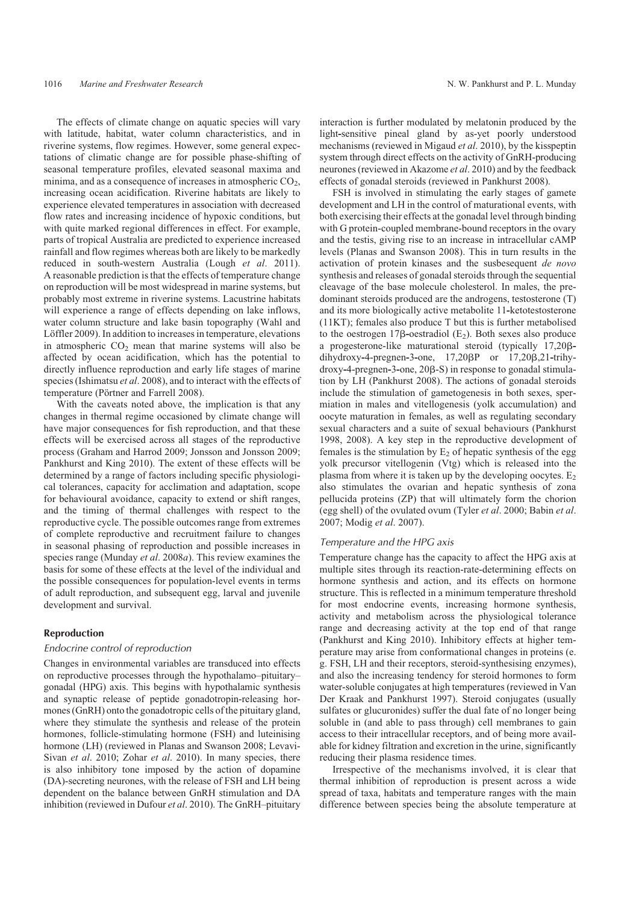The effects of climate change on aquatic species will vary with latitude, habitat, water column characteristics, and in riverine systems, flow regimes. However, some general expectations of climatic change are for possible phase-shifting of seasonal temperature profiles, elevated seasonal maxima and minima, and as a consequence of increases in atmospheric  $CO<sub>2</sub>$ , increasing ocean acidification. Riverine habitats are likely to experience elevated temperatures in association with decreased flow rates and increasing incidence of hypoxic conditions, but with quite marked regional differences in effect. For example, parts of tropical Australia are predicted to experience increased rainfall and flow regimes whereas both are likely to be markedly reduced in south-western Australia (Lough *et al*. 2011). A reasonable prediction is that the effects of temperature change on reproduction will be most widespread in marine systems, but probably most extreme in riverine systems. Lacustrine habitats will experience a range of effects depending on lake inflows, water column structure and lake basin topography (Wahl and Löffler 2009). In addition to increases in temperature, elevations in atmospheric  $CO<sub>2</sub>$  mean that marine systems will also be affected by ocean acidification, which has the potential to directly influence reproduction and early life stages of marine species (Ishimatsu *et al*. 2008), and to interact with the effects of temperature (Pörtner and Farrell 2008).

With the caveats noted above, the implication is that any changes in thermal regime occasioned by climate change will have major consequences for fish reproduction, and that these effects will be exercised across all stages of the reproductive process (Graham and Harrod 2009; Jonsson and Jonsson 2009; Pankhurst and King 2010). The extent of these effects will be determined by a range of factors including specific physiological tolerances, capacity for acclimation and adaptation, scope for behavioural avoidance, capacity to extend or shift ranges, and the timing of thermal challenges with respect to the reproductive cycle. The possible outcomes range from extremes of complete reproductive and recruitment failure to changes in seasonal phasing of reproduction and possible increases in species range (Munday *et al*. 2008*a*). This review examines the basis for some of these effects at the level of the individual and the possible consequences for population-level events in terms of adult reproduction, and subsequent egg, larval and juvenile development and survival.

#### Reproduction

## Endocrine control of reproduction

Changes in environmental variables are transduced into effects on reproductive processes through the hypothalamo–pituitary– gonadal (HPG) axis. This begins with hypothalamic synthesis and synaptic release of peptide gonadotropin-releasing hormones (GnRH) onto the gonadotropic cells of the pituitary gland, where they stimulate the synthesis and release of the protein hormones, follicle-stimulating hormone (FSH) and luteinising hormone (LH) (reviewed in Planas and Swanson 2008; Levavi-Sivan *et al*. 2010; Zohar *et al*. 2010). In many species, there is also inhibitory tone imposed by the action of dopamine (DA)-secreting neurones, with the release of FSH and LH being dependent on the balance between GnRH stimulation and DA inhibition (reviewed in Dufour *et al*. 2010). The GnRH–pituitary interaction is further modulated by melatonin produced by the light**-**sensitive pineal gland by as-yet poorly understood mechanisms (reviewed in Migaud *et al*. 2010), by the kisspeptin system through direct effects on the activity of GnRH-producing neurones (reviewed in Akazome *et al*. 2010) and by the feedback effects of gonadal steroids (reviewed in Pankhurst 2008).

FSH is involved in stimulating the early stages of gamete development and LH in the control of maturational events, with both exercising their effects at the gonadal level through binding with G protein-coupled membrane-bound receptors in the ovary and the testis, giving rise to an increase in intracellular cAMP levels (Planas and Swanson 2008). This in turn results in the activation of protein kinases and the susbesequent *de novo* synthesis and releases of gonadal steroids through the sequential cleavage of the base molecule cholesterol. In males, the predominant steroids produced are the androgens, testosterone (T) and its more biologically active metabolite 11**-**ketotestosterone (11KT); females also produce T but this is further metabolised to the oestrogen  $17\beta$ -oestradiol (E<sub>2</sub>). Both sexes also produce a progesterone-like maturational steroid (typically 17,20 $\beta$ dihydroxy-4-pregnen-3-one, 17,20 $\beta$ P or 17,20 $\beta$ ,21-trihydroxy**-**4-pregnen**-**3**-**one, 20b-S) in response to gonadal stimulation by LH (Pankhurst 2008). The actions of gonadal steroids include the stimulation of gametogenesis in both sexes, spermiation in males and vitellogenesis (yolk accumulation) and oocyte maturation in females, as well as regulating secondary sexual characters and a suite of sexual behaviours (Pankhurst 1998, 2008). A key step in the reproductive development of females is the stimulation by  $E_2$  of hepatic synthesis of the egg yolk precursor vitellogenin (Vtg) which is released into the plasma from where it is taken up by the developing oocytes.  $E_2$ also stimulates the ovarian and hepatic synthesis of zona pellucida proteins (ZP) that will ultimately form the chorion (egg shell) of the ovulated ovum (Tyler *et al*. 2000; Babin *et al*. 2007; Modig *et al*. 2007).

#### Temperature and the HPG axis

Temperature change has the capacity to affect the HPG axis at multiple sites through its reaction-rate-determining effects on hormone synthesis and action, and its effects on hormone structure. This is reflected in a minimum temperature threshold for most endocrine events, increasing hormone synthesis, activity and metabolism across the physiological tolerance range and decreasing activity at the top end of that range (Pankhurst and King 2010). Inhibitory effects at higher temperature may arise from conformational changes in proteins (e. g. FSH, LH and their receptors, steroid-synthesising enzymes), and also the increasing tendency for steroid hormones to form water-soluble conjugates at high temperatures (reviewed in Van Der Kraak and Pankhurst 1997). Steroid conjugates (usually sulfates or glucuronides) suffer the dual fate of no longer being soluble in (and able to pass through) cell membranes to gain access to their intracellular receptors, and of being more available for kidney filtration and excretion in the urine, significantly reducing their plasma residence times.

Irrespective of the mechanisms involved, it is clear that thermal inhibition of reproduction is present across a wide spread of taxa, habitats and temperature ranges with the main difference between species being the absolute temperature at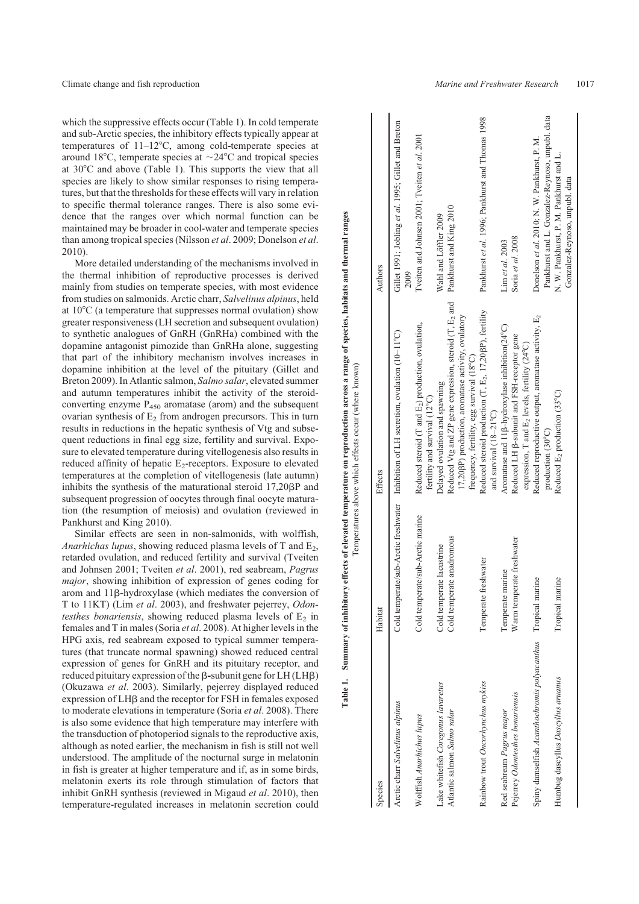which the suppressive effects occur (Table 1). In cold temperate and sub-Arctic species, the inhibitory effects typically appear at temperatures of 11–12°C, among cold-temperate species at around 18°C, temperate species at  $\sim$ 24°C and tropical species at  $30^{\circ}$ C and above (Table 1). This supports the view that all species are likely to show similar responses to rising temperatures, but that the thresholds for these effects will vary in relation to specific thermal tolerance ranges. There is also some evidence that the ranges over which normal function can be maintained may be broader in cool-water and temperate species than among tropical species (Nilsson *et al*. 2009; Donelson *et al*. 2010).

More detailed understanding of the mechanisms involved in the thermal inhibition of reproductive processes is derived mainly from studies on temperate species, with most evidence from studies on salmonids. Arctic charr, *Salvelinus alpinus*, held at  $10^{\circ}$ C (a temperature that suppresses normal ovulation) show greater responsiveness (LH secretion and subsequent ovulation) to synthetic analogues of GnRH (GnRHa) combined with the dopamine antagonist pimozide than GnRHa alone, suggesting that part of the inhibitory mechanism involves increases in dopamine inhibition at the level of the pituitary (Gillet and Breton 2009). In Atlantic salmon, *Salmo salar*, elevated summer and autumn temperatures inhibit the activity of the steroidconverting enzyme P450 aromatase (arom) and the subsequent ovarian synthesis of  $E_2$  from androgen precursors. This in turn results in reductions in the hepatic synthesis of Vtg and subsequent reductions in final egg size, fertility and survival. Exposure to elevated temperature during vitellogenesis also results in reduced affinity of hepatic  $E_2$ -receptors. Exposure to elevated temperatures at the completion of vitellogenesis (late autumn) inhibits the synthesis of the maturational steroid  $17,20\beta$ P and subsequent progression of oocytes through final oocyte maturation (the resumption of meiosis) and ovulation (reviewed in Pankhurst and King 2010).

Similar effects are seen in non-salmonids, with wolffish, *Anarhichas lupus*, showing reduced plasma levels of T and  $E_2$ , retarded ovulation, and reduced fertility and survival (Tveiten and Johnsen 2001; Tveiten *et al*. 2001), red seabream, *Pagrus major*, showing inhibition of expression of genes coding for arom and 11b**-**hydroxylase (which mediates the conversion of T to 11KT) (Lim *et al*. 2003), and freshwater pejerrey, *Odontesthes bonariensis*, showing reduced plasma levels of  $E_2$  in females and T in males (Soria *et al*. 2008). At higher levels in the HPG axis, red seabream exposed to typical summer temperatures (that truncate normal spawning) showed reduced central expression of genes for GnRH and its pituitary receptor, and reduced pituitary expression of the  $\beta$ -subunit gene for LH (LH $\beta$ ) (Okuzawa *et al*. 2003). Similarly, pejerrey displayed reduced expression of LH $\beta$  and the receptor for FSH in females exposed to moderate elevations in temperature (Soria *et al*. 2008). There is also some evidence that high temperature may interfere with the transduction of photoperiod signals to the reproductive axis, although as noted earlier, the mechanism in fish is still not well understood. The amplitude of the nocturnal surge in melatonin in fish is greater at higher temperature and if, as in some birds, melatonin exerts its role through stimulation of factors that inhibit GnRH synthesis (reviewed in Migaud *et al*. 2010), then temperature-regulated increases in melatonin secretion could

|                                                              | Habitat                          | Effects                                                                                                                                                               | Authors                                                                                         |
|--------------------------------------------------------------|----------------------------------|-----------------------------------------------------------------------------------------------------------------------------------------------------------------------|-------------------------------------------------------------------------------------------------|
| Arctic charr Salvelinus alpinus                              |                                  | Cold temperate/sub-Arctic freshwater Inhibition of LH secretion, ovulation (10-11°C)                                                                                  | Gillet 1991; Jobling et al. 1995; Gillet and Breton<br>2009                                     |
| Wolffish Anarhichus lupus                                    | Cold temperate/sub-Arctic marine | Reduced steroid (T and $E_2$ ) production, ovulation,<br>fertility and survival (12°C)                                                                                | Tveiten and Johnsen 2001; Tveiten et al. 2001                                                   |
| Lake whitefish Coregonus lavaretus                           | Cold temperate lacustrine        | Delayed ovulation and spawning                                                                                                                                        | Wahl and Löffler 2009                                                                           |
| Atlantic salmon Salmo salar                                  | Cold temperate anadromous        | Reduced Vtg and ZP gene expression, steroid (T, E <sub>2</sub> and<br>17,20BP) production, aromatase activity, ovulatory<br>frequency, fertility, egg survival (18°C) | Pankhurst and King 2010                                                                         |
| Rainbow trout Oncorhynchus mykiss                            | Temperate freshwater             | Reduced steroid production (T, E <sub>2</sub> , 17,20BP), fertility<br>and survival $(18-21°C)$                                                                       | Pankhurst et al. 1996; Pankhurst and Thomas 1998                                                |
| Red seabream Pagrus major                                    | Temperate marine                 | Aromatase and 11 <sup>8-hydroxylase</sup> inhibition(24°C)                                                                                                            | Lim et al. 2003                                                                                 |
| Pejerrey Odontesthes bonariensis                             | Warm temperate freshwater        | Reduced LH $\beta$ -subunit and FSH-receptor gene<br>expression, T and $E_2$ levels, fertility (24 $^{\circ}$ C)                                                      | Soria et al. 2008                                                                               |
| Spiny damselfish Acanthochromis polyacanthus Tropical marine |                                  | Reduced reproductive output, aromatase activity, $E_2$<br>production $(30^{\circ}C)$                                                                                  | Pankhurst and L. Gonzalez-Reynoso, unpubl. data<br>Donelson et al. 2010; N. W. Pankhurst, P. M. |
| Humbug dascyllus Dascyllus aruanus                           | Tropical marine                  | Reduced E <sub>2</sub> production (33°C)                                                                                                                              | N. W. Pankhurst, P. M. Pankhurst and L.<br>Gonzalez-Reynoso, unpubl. data                       |

Table 1. Summary of inhibitory effects of elevated temperature on reproduction across a range of species, habitats and thermal ranges Table 1. Summary of inhibitory effects of elevated temperature on reproduction across a range of species, habitats and thermal ranges Temperatures above which effects occur (where known)  $h$  and  $h$  affects accur (where  $h$  away)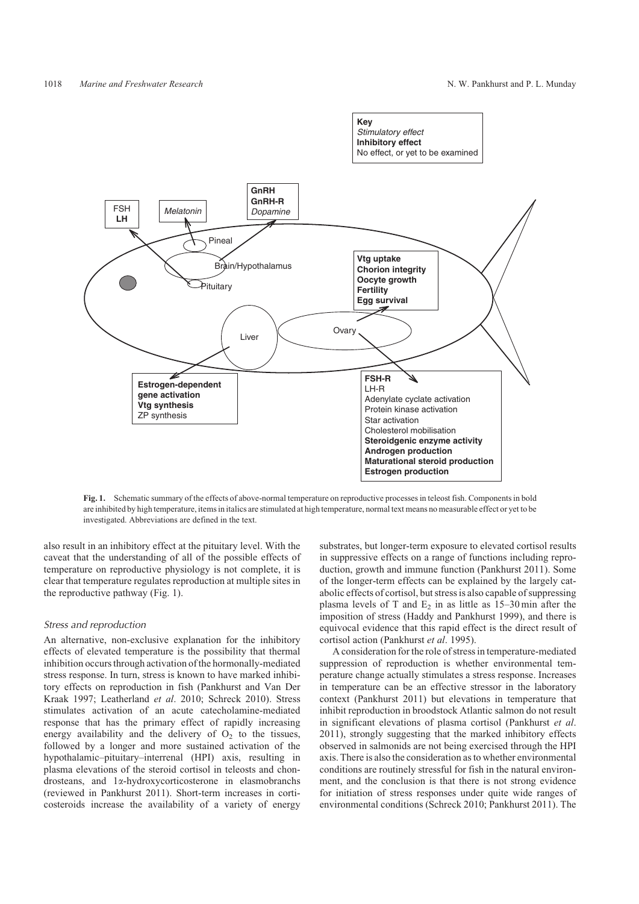

**Fig. 1.** Schematic summary of the effects of above-normal temperature on reproductive processes in teleost fish. Components in bold are inhibited by high temperature, items in italics are stimulated at high temperature, normal text means no measurable effect or yet to be investigated. Abbreviations are defined in the text.

also result in an inhibitory effect at the pituitary level. With the caveat that the understanding of all of the possible effects of temperature on reproductive physiology is not complete, it is clear that temperature regulates reproduction at multiple sites in the reproductive pathway (Fig. 1).

#### Stress and reproduction

An alternative, non-exclusive explanation for the inhibitory effects of elevated temperature is the possibility that thermal inhibition occurs through activation of the hormonally-mediated stress response. In turn, stress is known to have marked inhibitory effects on reproduction in fish (Pankhurst and Van Der Kraak 1997; Leatherland *et al*. 2010; Schreck 2010). Stress stimulates activation of an acute catecholamine-mediated response that has the primary effect of rapidly increasing energy availability and the delivery of  $O<sub>2</sub>$  to the tissues, followed by a longer and more sustained activation of the hypothalamic–pituitary–interrenal (HPI) axis, resulting in plasma elevations of the steroid cortisol in teleosts and chondrosteans, and 1a-hydroxycorticosterone in elasmobranchs (reviewed in Pankhurst 2011). Short-term increases in corticosteroids increase the availability of a variety of energy substrates, but longer-term exposure to elevated cortisol results in suppressive effects on a range of functions including reproduction, growth and immune function (Pankhurst 2011). Some of the longer-term effects can be explained by the largely catabolic effects of cortisol, but stress is also capable of suppressing plasma levels of T and  $E_2$  in as little as  $15-30$  min after the imposition of stress (Haddy and Pankhurst 1999), and there is equivocal evidence that this rapid effect is the direct result of cortisol action (Pankhurst *et al*. 1995).

A consideration for the role of stress in temperature-mediated suppression of reproduction is whether environmental temperature change actually stimulates a stress response. Increases in temperature can be an effective stressor in the laboratory context (Pankhurst 2011) but elevations in temperature that inhibit reproduction in broodstock Atlantic salmon do not result in significant elevations of plasma cortisol (Pankhurst *et al*. 2011), strongly suggesting that the marked inhibitory effects observed in salmonids are not being exercised through the HPI axis. There is also the consideration as to whether environmental conditions are routinely stressful for fish in the natural environment, and the conclusion is that there is not strong evidence for initiation of stress responses under quite wide ranges of environmental conditions (Schreck 2010; Pankhurst 2011). The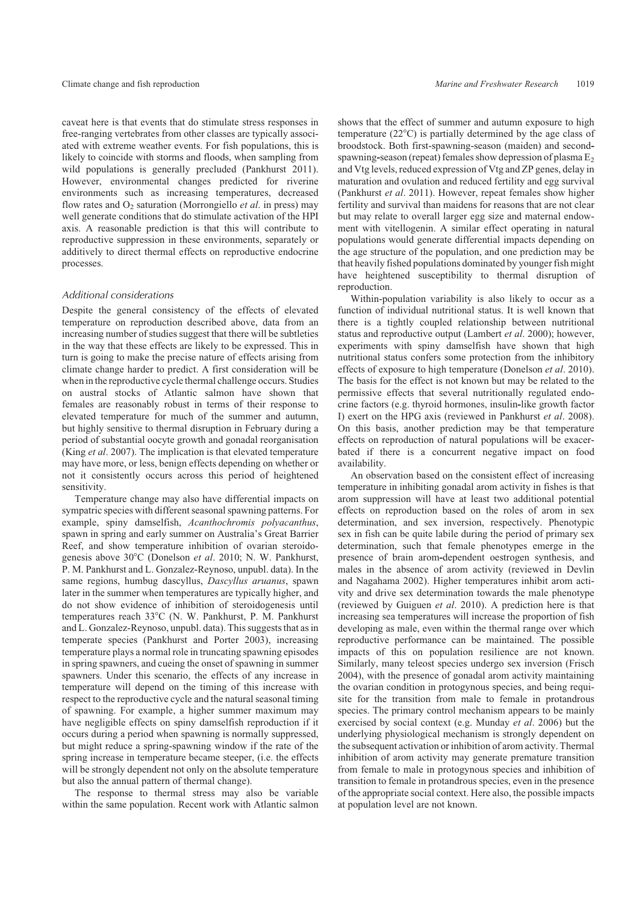caveat here is that events that do stimulate stress responses in free-ranging vertebrates from other classes are typically associated with extreme weather events. For fish populations, this is likely to coincide with storms and floods, when sampling from wild populations is generally precluded (Pankhurst 2011). However, environmental changes predicted for riverine environments such as increasing temperatures, decreased flow rates and O<sub>2</sub> saturation (Morrongiello *et al.* in press) may well generate conditions that do stimulate activation of the HPI axis. A reasonable prediction is that this will contribute to reproductive suppression in these environments, separately or additively to direct thermal effects on reproductive endocrine processes.

#### Additional considerations

Despite the general consistency of the effects of elevated temperature on reproduction described above, data from an increasing number of studies suggest that there will be subtleties in the way that these effects are likely to be expressed. This in turn is going to make the precise nature of effects arising from climate change harder to predict. A first consideration will be when in the reproductive cycle thermal challenge occurs. Studies on austral stocks of Atlantic salmon have shown that females are reasonably robust in terms of their response to elevated temperature for much of the summer and autumn, but highly sensitive to thermal disruption in February during a period of substantial oocyte growth and gonadal reorganisation (King *et al*. 2007). The implication is that elevated temperature may have more, or less, benign effects depending on whether or not it consistently occurs across this period of heightened sensitivity.

Temperature change may also have differential impacts on sympatric species with different seasonal spawning patterns. For example, spiny damselfish, *Acanthochromis polyacanthus*, spawn in spring and early summer on Australia's Great Barrier Reef, and show temperature inhibition of ovarian steroidogenesis above 30°C (Donelson *et al.* 2010; N. W. Pankhurst, P. M. Pankhurst and L. Gonzalez-Reynoso, unpubl. data). In the same regions, humbug dascyllus, *Dascyllus aruanus*, spawn later in the summer when temperatures are typically higher, and do not show evidence of inhibition of steroidogenesis until temperatures reach 33°C (N. W. Pankhurst, P. M. Pankhurst and L. Gonzalez-Reynoso, unpubl. data). This suggests that as in temperate species (Pankhurst and Porter 2003), increasing temperature plays a normal role in truncating spawning episodes in spring spawners, and cueing the onset of spawning in summer spawners. Under this scenario, the effects of any increase in temperature will depend on the timing of this increase with respect to the reproductive cycle and the natural seasonal timing of spawning. For example, a higher summer maximum may have negligible effects on spiny damselfish reproduction if it occurs during a period when spawning is normally suppressed, but might reduce a spring-spawning window if the rate of the spring increase in temperature became steeper, (i.e. the effects will be strongly dependent not only on the absolute temperature but also the annual pattern of thermal change).

The response to thermal stress may also be variable within the same population. Recent work with Atlantic salmon shows that the effect of summer and autumn exposure to high temperature (22°C) is partially determined by the age class of broodstock. Both first-spawning-season (maiden) and secondspawning-season (repeat) females show depression of plasma E<sub>2</sub> and Vtg levels, reduced expression of Vtg and ZP genes, delay in maturation and ovulation and reduced fertility and egg survival (Pankhurst *et al*. 2011). However, repeat females show higher fertility and survival than maidens for reasons that are not clear but may relate to overall larger egg size and maternal endowment with vitellogenin. A similar effect operating in natural populations would generate differential impacts depending on the age structure of the population, and one prediction may be that heavily fished populations dominated by younger fish might have heightened susceptibility to thermal disruption of reproduction.

Within-population variability is also likely to occur as a function of individual nutritional status. It is well known that there is a tightly coupled relationship between nutritional status and reproductive output (Lambert *et al*. 2000); however, experiments with spiny damselfish have shown that high nutritional status confers some protection from the inhibitory effects of exposure to high temperature (Donelson *et al*. 2010). The basis for the effect is not known but may be related to the permissive effects that several nutritionally regulated endocrine factors (e.g. thyroid hormones, insulin**-**like growth factor I) exert on the HPG axis (reviewed in Pankhurst *et al*. 2008). On this basis, another prediction may be that temperature effects on reproduction of natural populations will be exacerbated if there is a concurrent negative impact on food availability.

An observation based on the consistent effect of increasing temperature in inhibiting gonadal arom activity in fishes is that arom suppression will have at least two additional potential effects on reproduction based on the roles of arom in sex determination, and sex inversion, respectively. Phenotypic sex in fish can be quite labile during the period of primary sex determination, such that female phenotypes emerge in the presence of brain arom**-**dependent oestrogen synthesis, and males in the absence of arom activity (reviewed in Devlin and Nagahama 2002). Higher temperatures inhibit arom activity and drive sex determination towards the male phenotype (reviewed by Guiguen *et al*. 2010). A prediction here is that increasing sea temperatures will increase the proportion of fish developing as male, even within the thermal range over which reproductive performance can be maintained. The possible impacts of this on population resilience are not known. Similarly, many teleost species undergo sex inversion (Frisch 2004), with the presence of gonadal arom activity maintaining the ovarian condition in protogynous species, and being requisite for the transition from male to female in protandrous species. The primary control mechanism appears to be mainly exercised by social context (e.g. Munday *et al*. 2006) but the underlying physiological mechanism is strongly dependent on the subsequent activation or inhibition of arom activity. Thermal inhibition of arom activity may generate premature transition from female to male in protogynous species and inhibition of transition to female in protandrous species, even in the presence of the appropriate social context. Here also, the possible impacts at population level are not known.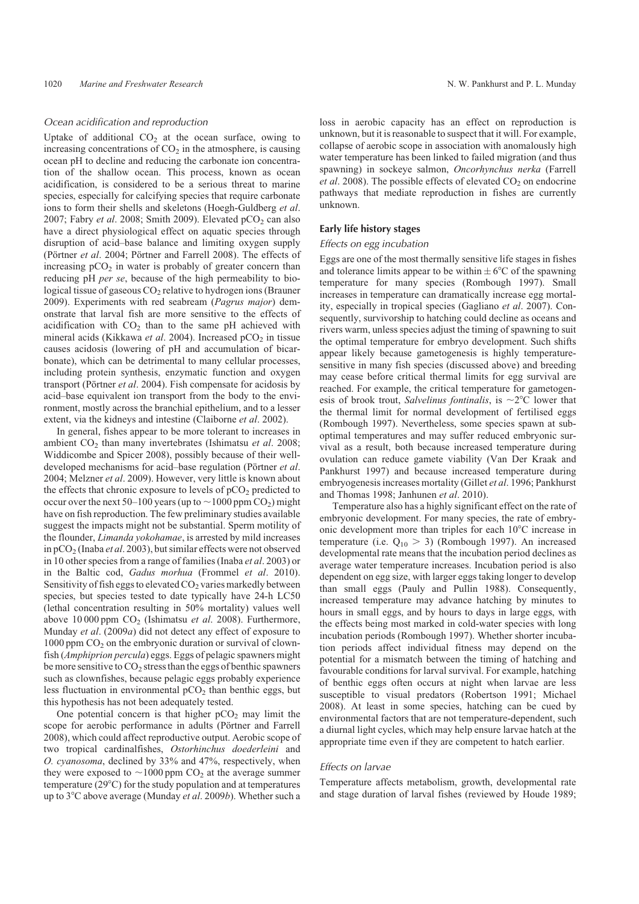## Ocean acidification and reproduction

Uptake of additional  $CO<sub>2</sub>$  at the ocean surface, owing to increasing concentrations of  $CO<sub>2</sub>$  in the atmosphere, is causing ocean pH to decline and reducing the carbonate ion concentration of the shallow ocean. This process, known as ocean acidification, is considered to be a serious threat to marine species, especially for calcifying species that require carbonate ions to form their shells and skeletons (Hoegh-Guldberg *et al*. 2007; Fabry *et al.* 2008; Smith 2009). Elevated  $pCO<sub>2</sub>$  can also have a direct physiological effect on aquatic species through disruption of acid–base balance and limiting oxygen supply (Pörtner *et al.* 2004; Pörtner and Farrell 2008). The effects of increasing  $pCO<sub>2</sub>$  in water is probably of greater concern than reducing pH *per se*, because of the high permeability to biological tissue of gaseous  $CO<sub>2</sub>$  relative to hydrogen ions (Brauner 2009). Experiments with red seabream (*Pagrus major*) demonstrate that larval fish are more sensitive to the effects of acidification with  $CO<sub>2</sub>$  than to the same pH achieved with mineral acids (Kikkawa *et al.* 2004). Increased pCO<sub>2</sub> in tissue causes acidosis (lowering of pH and accumulation of bicarbonate), which can be detrimental to many cellular processes, including protein synthesis, enzymatic function and oxygen transport (Pörtner *et al.* 2004). Fish compensate for acidosis by acid–base equivalent ion transport from the body to the environment, mostly across the branchial epithelium, and to a lesser extent, via the kidneys and intestine (Claiborne *et al*. 2002).

In general, fishes appear to be more tolerant to increases in ambient CO<sub>2</sub> than many invertebrates (Ishimatsu *et al.* 2008; Widdicombe and Spicer 2008), possibly because of their welldeveloped mechanisms for acid–base regulation (Pörtner *et al.*) 2004; Melzner *et al*. 2009). However, very little is known about the effects that chronic exposure to levels of  $pCO<sub>2</sub>$  predicted to occur over the next 50–100 years (up to  $\sim$ 1000 ppm CO<sub>2</sub>) might have on fish reproduction. The few preliminary studies available suggest the impacts might not be substantial. Sperm motility of the flounder, *Limanda yokohamae*, is arrested by mild increases in pCO2 (Inaba *et al*. 2003), but similar effects were not observed in 10 other species from a range of families (Inaba *et al*. 2003) or in the Baltic cod, *Gadus morhua* (Frommel *et al*. 2010). Sensitivity of fish eggs to elevated  $CO<sub>2</sub>$  varies markedly between species, but species tested to date typically have 24-h LC50 (lethal concentration resulting in 50% mortality) values well above 10 000 ppm  $CO<sub>2</sub>$  (Ishimatsu *et al.* 2008). Furthermore, Munday *et al*. (2009*a*) did not detect any effect of exposure to 1000 ppm  $CO<sub>2</sub>$  on the embryonic duration or survival of clownfish (*Amphiprion percula*) eggs. Eggs of pelagic spawners might be more sensitive to  $CO<sub>2</sub>$  stress than the eggs of benthic spawners such as clownfishes, because pelagic eggs probably experience less fluctuation in environmental  $pCO<sub>2</sub>$  than benthic eggs, but this hypothesis has not been adequately tested.

One potential concern is that higher  $pCO<sub>2</sub>$  may limit the scope for aerobic performance in adults (Pörtner and Farrell 2008), which could affect reproductive output. Aerobic scope of two tropical cardinalfishes, *Ostorhinchus doederleini* and *O. cyanosoma*, declined by 33% and 47%, respectively, when they were exposed to  $\sim$ 1000 ppm CO<sub>2</sub> at the average summer temperature ( $29^{\circ}$ C) for the study population and at temperatures up to 3<sup>o</sup>C above average (Munday *et al.* 2009*b*). Whether such a loss in aerobic capacity has an effect on reproduction is unknown, but it is reasonable to suspect that it will. For example, collapse of aerobic scope in association with anomalously high water temperature has been linked to failed migration (and thus spawning) in sockeye salmon, *Oncorhynchus nerka* (Farrell *et al.* 2008). The possible effects of elevated CO<sub>2</sub> on endocrine pathways that mediate reproduction in fishes are currently unknown.

# Early life history stages

#### Effects on egg incubation

Eggs are one of the most thermally sensitive life stages in fishes and tolerance limits appear to be within  $\pm 6^{\circ}$ C of the spawning temperature for many species (Rombough 1997). Small increases in temperature can dramatically increase egg mortality, especially in tropical species (Gagliano *et al*. 2007). Consequently, survivorship to hatching could decline as oceans and rivers warm, unless species adjust the timing of spawning to suit the optimal temperature for embryo development. Such shifts appear likely because gametogenesis is highly temperaturesensitive in many fish species (discussed above) and breeding may cease before critical thermal limits for egg survival are reached. For example, the critical temperature for gametogenesis of brook trout, *Salvelinus fontinalis*, is  $\sim$ 2°C lower that the thermal limit for normal development of fertilised eggs (Rombough 1997). Nevertheless, some species spawn at suboptimal temperatures and may suffer reduced embryonic survival as a result, both because increased temperature during ovulation can reduce gamete viability (Van Der Kraak and Pankhurst 1997) and because increased temperature during embryogenesis increases mortality (Gillet *et al*. 1996; Pankhurst and Thomas 1998; Janhunen *et al*. 2010).

Temperature also has a highly significant effect on the rate of embryonic development. For many species, the rate of embryonic development more than triples for each  $10^{\circ}$ C increase in temperature (i.e.  $Q_{10} > 3$ ) (Rombough 1997). An increased developmental rate means that the incubation period declines as average water temperature increases. Incubation period is also dependent on egg size, with larger eggs taking longer to develop than small eggs (Pauly and Pullin 1988). Consequently, increased temperature may advance hatching by minutes to hours in small eggs, and by hours to days in large eggs, with the effects being most marked in cold-water species with long incubation periods (Rombough 1997). Whether shorter incubation periods affect individual fitness may depend on the potential for a mismatch between the timing of hatching and favourable conditions for larval survival. For example, hatching of benthic eggs often occurs at night when larvae are less susceptible to visual predators (Robertson 1991; Michael 2008). At least in some species, hatching can be cued by environmental factors that are not temperature-dependent, such a diurnal light cycles, which may help ensure larvae hatch at the appropriate time even if they are competent to hatch earlier.

# Effects on larvae

Temperature affects metabolism, growth, developmental rate and stage duration of larval fishes (reviewed by Houde 1989;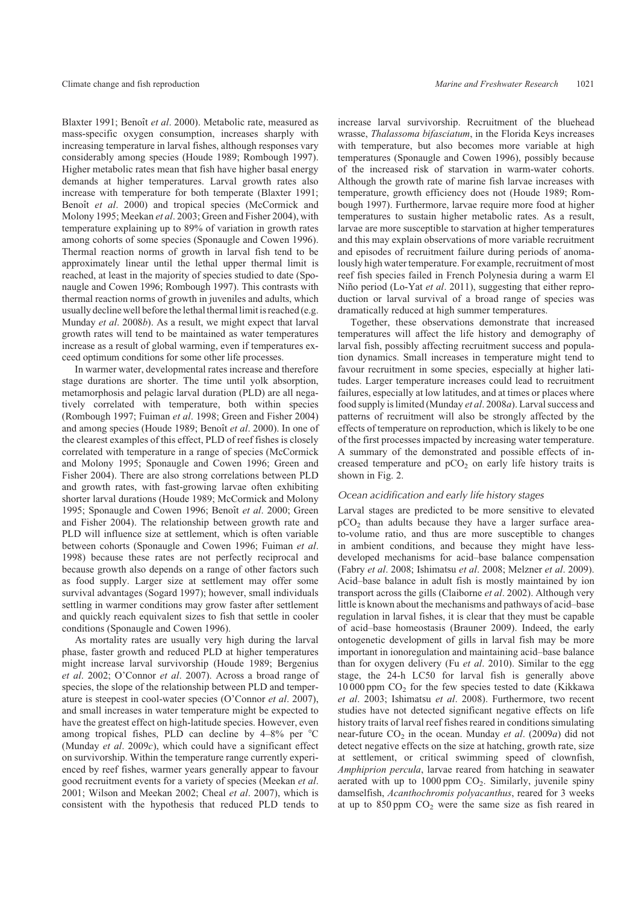Blaxter 1991; Benoît et al. 2000). Metabolic rate, measured as mass-specific oxygen consumption, increases sharply with increasing temperature in larval fishes, although responses vary considerably among species (Houde 1989; Rombough 1997). Higher metabolic rates mean that fish have higher basal energy demands at higher temperatures. Larval growth rates also increase with temperature for both temperate (Blaxter 1991; Benoît et al. 2000) and tropical species (McCormick and Molony 1995; Meekan *et al*. 2003; Green and Fisher 2004), with temperature explaining up to 89% of variation in growth rates among cohorts of some species (Sponaugle and Cowen 1996). Thermal reaction norms of growth in larval fish tend to be approximately linear until the lethal upper thermal limit is reached, at least in the majority of species studied to date (Sponaugle and Cowen 1996; Rombough 1997). This contrasts with thermal reaction norms of growth in juveniles and adults, which usually decline well before the lethal thermal limit is reached (e.g. Munday *et al*. 2008*b*). As a result, we might expect that larval growth rates will tend to be maintained as water temperatures increase as a result of global warming, even if temperatures exceed optimum conditions for some other life processes.

In warmer water, developmental rates increase and therefore stage durations are shorter. The time until yolk absorption, metamorphosis and pelagic larval duration (PLD) are all negatively correlated with temperature, both within species (Rombough 1997; Fuiman *et al*. 1998; Green and Fisher 2004) and among species (Houde 1989; Benoît et al. 2000). In one of the clearest examples of this effect, PLD of reef fishes is closely correlated with temperature in a range of species (McCormick and Molony 1995; Sponaugle and Cowen 1996; Green and Fisher 2004). There are also strong correlations between PLD and growth rates, with fast-growing larvae often exhibiting shorter larval durations (Houde 1989; McCormick and Molony 1995; Sponaugle and Cowen 1996; Benoît et al. 2000; Green and Fisher 2004). The relationship between growth rate and PLD will influence size at settlement, which is often variable between cohorts (Sponaugle and Cowen 1996; Fuiman *et al*. 1998) because these rates are not perfectly reciprocal and because growth also depends on a range of other factors such as food supply. Larger size at settlement may offer some survival advantages (Sogard 1997); however, small individuals settling in warmer conditions may grow faster after settlement and quickly reach equivalent sizes to fish that settle in cooler conditions (Sponaugle and Cowen 1996).

As mortality rates are usually very high during the larval phase, faster growth and reduced PLD at higher temperatures might increase larval survivorship (Houde 1989; Bergenius *et al*. 2002; O'Connor *et al*. 2007). Across a broad range of species, the slope of the relationship between PLD and temperature is steepest in cool-water species (O'Connor *et al*. 2007), and small increases in water temperature might be expected to have the greatest effect on high-latitude species. However, even among tropical fishes, PLD can decline by  $4-8\%$  per  $\degree$ C (Munday *et al*. 2009*c*), which could have a significant effect on survivorship. Within the temperature range currently experienced by reef fishes, warmer years generally appear to favour good recruitment events for a variety of species (Meekan *et al*. 2001; Wilson and Meekan 2002; Cheal *et al*. 2007), which is consistent with the hypothesis that reduced PLD tends to increase larval survivorship. Recruitment of the bluehead wrasse, *Thalassoma bifasciatum*, in the Florida Keys increases with temperature, but also becomes more variable at high temperatures (Sponaugle and Cowen 1996), possibly because of the increased risk of starvation in warm-water cohorts. Although the growth rate of marine fish larvae increases with temperature, growth efficiency does not (Houde 1989; Rombough 1997). Furthermore, larvae require more food at higher temperatures to sustain higher metabolic rates. As a result, larvae are more susceptible to starvation at higher temperatures and this may explain observations of more variable recruitment and episodes of recruitment failure during periods of anomalously high water temperature. For example, recruitment of most reef fish species failed in French Polynesia during a warm El Niño period (Lo-Yat et al. 2011), suggesting that either reproduction or larval survival of a broad range of species was dramatically reduced at high summer temperatures.

Together, these observations demonstrate that increased temperatures will affect the life history and demography of larval fish, possibly affecting recruitment success and population dynamics. Small increases in temperature might tend to favour recruitment in some species, especially at higher latitudes. Larger temperature increases could lead to recruitment failures, especially at low latitudes, and at times or places where food supply is limited (Munday *et al*. 2008*a*). Larval success and patterns of recruitment will also be strongly affected by the effects of temperature on reproduction, which is likely to be one of the first processes impacted by increasing water temperature. A summary of the demonstrated and possible effects of increased temperature and  $pCO<sub>2</sub>$  on early life history traits is shown in Fig. 2.

#### Ocean acidification and early life history stages

Larval stages are predicted to be more sensitive to elevated  $pCO<sub>2</sub>$  than adults because they have a larger surface areato-volume ratio, and thus are more susceptible to changes in ambient conditions, and because they might have lessdeveloped mechanisms for acid–base balance compensation (Fabry *et al*. 2008; Ishimatsu *et al*. 2008; Melzner *et al*. 2009). Acid–base balance in adult fish is mostly maintained by ion transport across the gills (Claiborne *et al*. 2002). Although very little is known about the mechanisms and pathways of acid–base regulation in larval fishes, it is clear that they must be capable of acid–base homeostasis (Brauner 2009). Indeed, the early ontogenetic development of gills in larval fish may be more important in ionoregulation and maintaining acid–base balance than for oxygen delivery (Fu *et al*. 2010). Similar to the egg stage, the 24-h LC50 for larval fish is generally above  $10000$  ppm  $CO<sub>2</sub>$  for the few species tested to date (Kikkawa *et al*. 2003; Ishimatsu *et al*. 2008). Furthermore, two recent studies have not detected significant negative effects on life history traits of larval reef fishes reared in conditions simulating near-future  $CO<sub>2</sub>$  in the ocean. Munday *et al.* (2009*a*) did not detect negative effects on the size at hatching, growth rate, size at settlement, or critical swimming speed of clownfish, *Amphiprion percula*, larvae reared from hatching in seawater aerated with up to  $1000$  ppm  $CO<sub>2</sub>$ . Similarly, juvenile spiny damselfish, *Acanthochromis polyacanthus*, reared for 3 weeks at up to  $850$  ppm  $CO<sub>2</sub>$  were the same size as fish reared in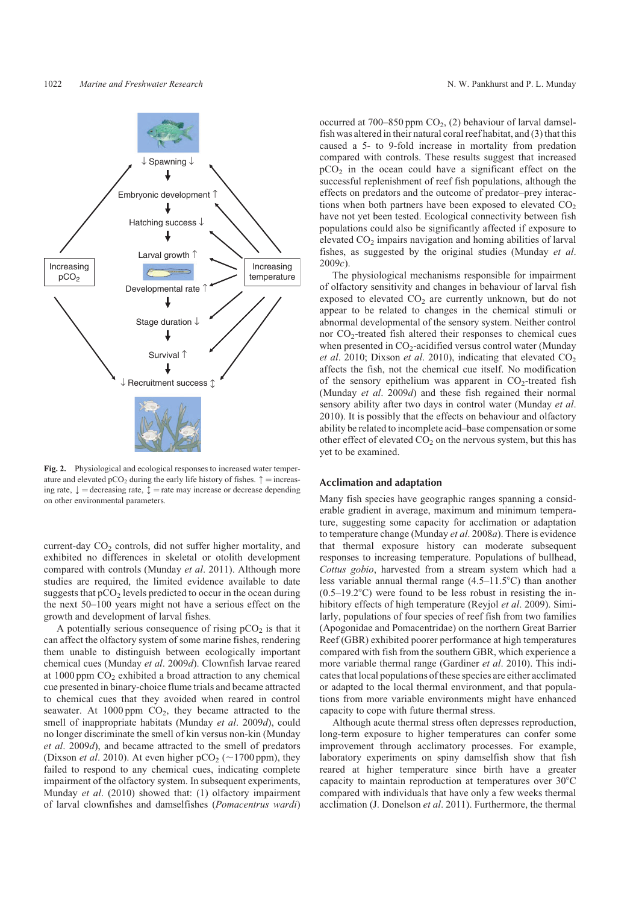

**Fig. 2.** Physiological and ecological responses to increased water temperature and elevated pCO<sub>2</sub> during the early life history of fishes.  $\uparrow$  = increasing rate,  $\downarrow$  = decreasing rate,  $\uparrow$  = rate may increase or decrease depending on other environmental parameters.

current-day  $CO<sub>2</sub>$  controls, did not suffer higher mortality, and exhibited no differences in skeletal or otolith development compared with controls (Munday *et al*. 2011). Although more studies are required, the limited evidence available to date suggests that  $pCO<sub>2</sub>$  levels predicted to occur in the ocean during the next 50–100 years might not have a serious effect on the growth and development of larval fishes.

A potentially serious consequence of rising  $pCO<sub>2</sub>$  is that it can affect the olfactory system of some marine fishes, rendering them unable to distinguish between ecologically important chemical cues (Munday *et al*. 2009*d*). Clownfish larvae reared at  $1000$  ppm  $CO<sub>2</sub>$  exhibited a broad attraction to any chemical cue presented in binary-choice flume trials and became attracted to chemical cues that they avoided when reared in control seawater. At  $1000$  ppm  $CO<sub>2</sub>$ , they became attracted to the smell of inappropriate habitats (Munday *et al*. 2009*d*), could no longer discriminate the smell of kin versus non-kin (Munday *et al*. 2009*d*), and became attracted to the smell of predators (Dixson *et al.* 2010). At even higher  $pCO_2$  ( $\sim$ 1700 ppm), they failed to respond to any chemical cues, indicating complete impairment of the olfactory system. In subsequent experiments, Munday *et al*. (2010) showed that: (1) olfactory impairment of larval clownfishes and damselfishes (*Pomacentrus wardi*) occurred at 700–850 ppm  $CO<sub>2</sub>$ , (2) behaviour of larval damselfish was altered in their natural coral reef habitat, and (3) that this caused a 5- to 9-fold increase in mortality from predation compared with controls. These results suggest that increased  $pCO<sub>2</sub>$  in the ocean could have a significant effect on the successful replenishment of reef fish populations, although the effects on predators and the outcome of predator–prey interactions when both partners have been exposed to elevated  $CO<sub>2</sub>$ have not yet been tested. Ecological connectivity between fish populations could also be significantly affected if exposure to elevated  $CO<sub>2</sub>$  impairs navigation and homing abilities of larval fishes, as suggested by the original studies (Munday *et al*. 2009*c*).

The physiological mechanisms responsible for impairment of olfactory sensitivity and changes in behaviour of larval fish exposed to elevated  $CO<sub>2</sub>$  are currently unknown, but do not appear to be related to changes in the chemical stimuli or abnormal developmental of the sensory system. Neither control nor  $CO_2$ -treated fish altered their responses to chemical cues when presented in  $CO_2$ -acidified versus control water (Munday *et al.* 2010; Dixson *et al.* 2010), indicating that elevated  $CO<sub>2</sub>$ affects the fish, not the chemical cue itself. No modification of the sensory epithelium was apparent in  $CO<sub>2</sub>$ -treated fish (Munday *et al*. 2009*d*) and these fish regained their normal sensory ability after two days in control water (Munday *et al*. 2010). It is possibly that the effects on behaviour and olfactory ability be related to incomplete acid–base compensation or some other effect of elevated  $CO<sub>2</sub>$  on the nervous system, but this has yet to be examined.

## Acclimation and adaptation

Many fish species have geographic ranges spanning a considerable gradient in average, maximum and minimum temperature, suggesting some capacity for acclimation or adaptation to temperature change (Munday *et al*. 2008*a*). There is evidence that thermal exposure history can moderate subsequent responses to increasing temperature. Populations of bullhead, *Cottus gobio*, harvested from a stream system which had a less variable annual thermal range  $(4.5-11.5^{\circ}\text{C})$  than another  $(0.5-19.2^{\circ}C)$  were found to be less robust in resisting the inhibitory effects of high temperature (Reyjol *et al*. 2009). Similarly, populations of four species of reef fish from two families (Apogonidae and Pomacentridae) on the northern Great Barrier Reef (GBR) exhibited poorer performance at high temperatures compared with fish from the southern GBR, which experience a more variable thermal range (Gardiner *et al*. 2010). This indicates that local populations of these species are either acclimated or adapted to the local thermal environment, and that populations from more variable environments might have enhanced capacity to cope with future thermal stress.

Although acute thermal stress often depresses reproduction, long-term exposure to higher temperatures can confer some improvement through acclimatory processes. For example, laboratory experiments on spiny damselfish show that fish reared at higher temperature since birth have a greater capacity to maintain reproduction at temperatures over  $30^{\circ}$ C compared with individuals that have only a few weeks thermal acclimation (J. Donelson *et al*. 2011). Furthermore, the thermal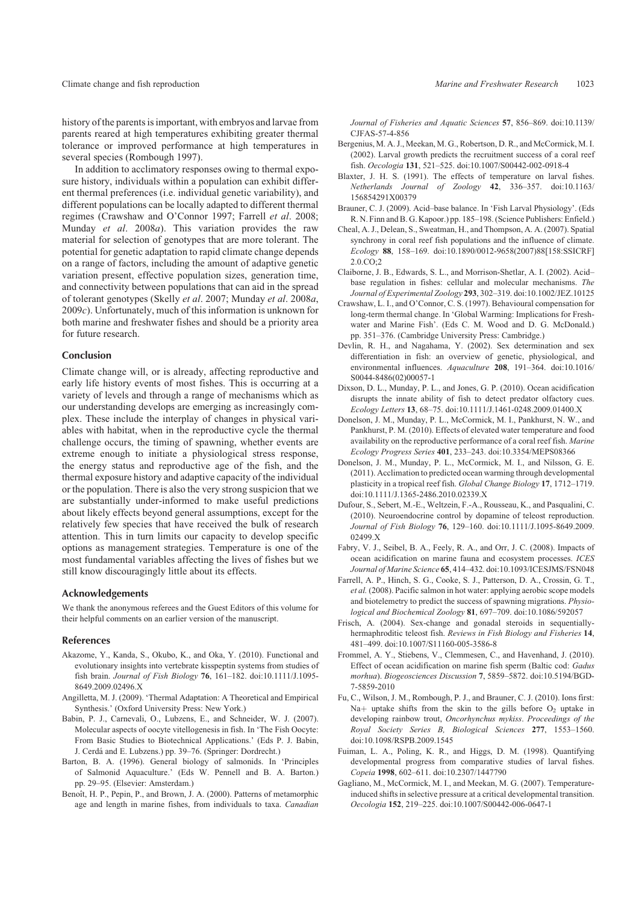history of the parents is important, with embryos and larvae from parents reared at high temperatures exhibiting greater thermal tolerance or improved performance at high temperatures in several species (Rombough 1997).

In addition to acclimatory responses owing to thermal exposure history, individuals within a population can exhibit different thermal preferences (i.e. individual genetic variability), and different populations can be locally adapted to different thermal regimes (Crawshaw and O'Connor 1997; Farrell *et al*. 2008; Munday *et al*. 2008*a*). This variation provides the raw material for selection of genotypes that are more tolerant. The potential for genetic adaptation to rapid climate change depends on a range of factors, including the amount of adaptive genetic variation present, effective population sizes, generation time, and connectivity between populations that can aid in the spread of tolerant genotypes (Skelly *et al*. 2007; Munday *et al*. 2008*a*, 2009*c*). Unfortunately, much of this information is unknown for both marine and freshwater fishes and should be a priority area for future research.

## Conclusion

Climate change will, or is already, affecting reproductive and early life history events of most fishes. This is occurring at a variety of levels and through a range of mechanisms which as our understanding develops are emerging as increasingly complex. These include the interplay of changes in physical variables with habitat, when in the reproductive cycle the thermal challenge occurs, the timing of spawning, whether events are extreme enough to initiate a physiological stress response, the energy status and reproductive age of the fish, and the thermal exposure history and adaptive capacity of the individual or the population. There is also the very strong suspicion that we are substantially under-informed to make useful predictions about likely effects beyond general assumptions, except for the relatively few species that have received the bulk of research attention. This in turn limits our capacity to develop specific options as management strategies. Temperature is one of the most fundamental variables affecting the lives of fishes but we still know discouragingly little about its effects.

## Acknowledgements

We thank the anonymous referees and the Guest Editors of this volume for their helpful comments on an earlier version of the manuscript.

#### References

- Akazome, Y., Kanda, S., Okubo, K., and Oka, Y. (2010). Functional and evolutionary insights into vertebrate kisspeptin systems from studies of fish brain. *Journal of Fish Biology* **76**, 161–182. doi:10.1111/J.1095- 8649.2009.02496.X
- Angilletta, M. J. (2009). 'Thermal Adaptation: A Theoretical and Empirical Synthesis.' (Oxford University Press: New York.)
- Babin, P. J., Carnevali, O., Lubzens, E., and Schneider, W. J. (2007). Molecular aspects of oocyte vitellogenesis in fish. In 'The Fish Oocyte: From Basic Studies to Biotechnical Applications.' (Eds P. J. Babin, J. Cerdá and E. Lubzens.) pp. 39–76. (Springer: Dordrecht.)
- Barton, B. A. (1996). General biology of salmonids. In 'Principles of Salmonid Aquaculture.' (Eds W. Pennell and B. A. Barton.) pp. 29–95. (Elsevier: Amsterdam.)
- Benoît, H. P., Pepin, P., and Brown, J. A. (2000). Patterns of metamorphic age and length in marine fishes, from individuals to taxa. *Canadian*

*Journal of Fisheries and Aquatic Sciences* **57**, 856–869. doi:10.1139/ CJFAS-57-4-856

- Bergenius, M. A. J., Meekan, M. G., Robertson, D. R., and McCormick, M. I. (2002). Larval growth predicts the recruitment success of a coral reef fish. *Oecologia* **131**, 521–525. doi:10.1007/S00442-002-0918-4
- Blaxter, J. H. S. (1991). The effects of temperature on larval fishes. *Netherlands Journal of Zoology* **42**, 336–357. doi:10.1163/ 156854291X00379
- Brauner, C. J. (2009). Acid–base balance. In 'Fish Larval Physiology'. (Eds R. N. Finn and B. G. Kapoor.) pp. 185–198. (Science Publishers: Enfield.)
- Cheal, A. J., Delean, S., Sweatman, H., and Thompson, A. A. (2007). Spatial synchrony in coral reef fish populations and the influence of climate. *Ecology* **88**, 158–169. doi:10.1890/0012-9658(2007)88[158:SSICRF] 2.0.CO;2
- Claiborne, J. B., Edwards, S. L., and Morrison-Shetlar, A. I. (2002). Acid– base regulation in fishes: cellular and molecular mechanisms. *The Journal of Experimental Zoology* **293**, 302–319. doi:10.1002/JEZ.10125
- Crawshaw, L. I., and O'Connor, C. S. (1997). Behavioural compensation for long-term thermal change. In 'Global Warming: Implications for Freshwater and Marine Fish'. (Eds C. M. Wood and D. G. McDonald.) pp. 351–376. (Cambridge University Press: Cambridge.)
- Devlin, R. H., and Nagahama, Y. (2002). Sex determination and sex differentiation in fish: an overview of genetic, physiological, and environmental influences. *Aquaculture* **208**, 191–364. doi:10.1016/ S0044-8486(02)00057-1
- Dixson, D. L., Munday, P. L., and Jones, G. P. (2010). Ocean acidification disrupts the innate ability of fish to detect predator olfactory cues. *Ecology Letters* **13**, 68–75. doi:10.1111/J.1461-0248.2009.01400.X
- Donelson, J. M., Munday, P. L., McCormick, M. I., Pankhurst, N. W., and Pankhurst, P. M. (2010). Effects of elevated water temperature and food availability on the reproductive performance of a coral reef fish. *Marine Ecology Progress Series* **401**, 233–243. doi:10.3354/MEPS08366
- Donelson, J. M., Munday, P. L., McCormick, M. I., and Nilsson, G. E. (2011). Acclimation to predicted ocean warming through developmental plasticity in a tropical reef fish. *Global Change Biology* **17**, 1712–1719. doi:10.1111/J.1365-2486.2010.02339.X
- Dufour, S., Sebert, M.-E., Weltzein, F.-A., Rousseau, K., and Pasqualini, C. (2010). Neuroendocrine control by dopamine of teleost reproduction. *Journal of Fish Biology* **76**, 129–160. doi:10.1111/J.1095-8649.2009. 02499.X
- Fabry, V. J., Seibel, B. A., Feely, R. A., and Orr, J. C. (2008). Impacts of ocean acidification on marine fauna and ecosystem processes. *ICES Journal of Marine Science* **65**, 414–432. doi:10.1093/ICESJMS/FSN048
- Farrell, A. P., Hinch, S. G., Cooke, S. J., Patterson, D. A., Crossin, G. T., *et al.* (2008). Pacific salmon in hot water: applying aerobic scope models and biotelemetry to predict the success of spawning migrations. *Physiological and Biochemical Zoology* **81**, 697–709. doi:10.1086/592057
- Frisch, A. (2004). Sex-change and gonadal steroids in sequentiallyhermaphroditic teleost fish. *Reviews in Fish Biology and Fisheries* **14**, 481–499. doi:10.1007/S11160-005-3586-8
- Frommel, A. Y., Stiebens, V., Clemmesen, C., and Havenhand, J. (2010). Effect of ocean acidification on marine fish sperm (Baltic cod: *Gadus morhua*). *Biogeosciences Discussion* **7**, 5859–5872. doi:10.5194/BGD-7-5859-2010
- Fu, C., Wilson, J. M., Rombough, P. J., and Brauner, C. J. (2010). Ions first: Na+ uptake shifts from the skin to the gills before  $O_2$  uptake in developing rainbow trout, *Oncorhynchus mykiss*. *Proceedings of the Royal Society Series B, Biological Sciences* **277**, 1553–1560. doi:10.1098/RSPB.2009.1545
- Fuiman, L. A., Poling, K. R., and Higgs, D. M. (1998). Quantifying developmental progress from comparative studies of larval fishes. *Copeia* **1998**, 602–611. doi:10.2307/1447790
- Gagliano, M., McCormick, M. I., and Meekan, M. G. (2007). Temperatureinduced shifts in selective pressure at a critical developmental transition. *Oecologia* **152**, 219–225. doi:10.1007/S00442-006-0647-1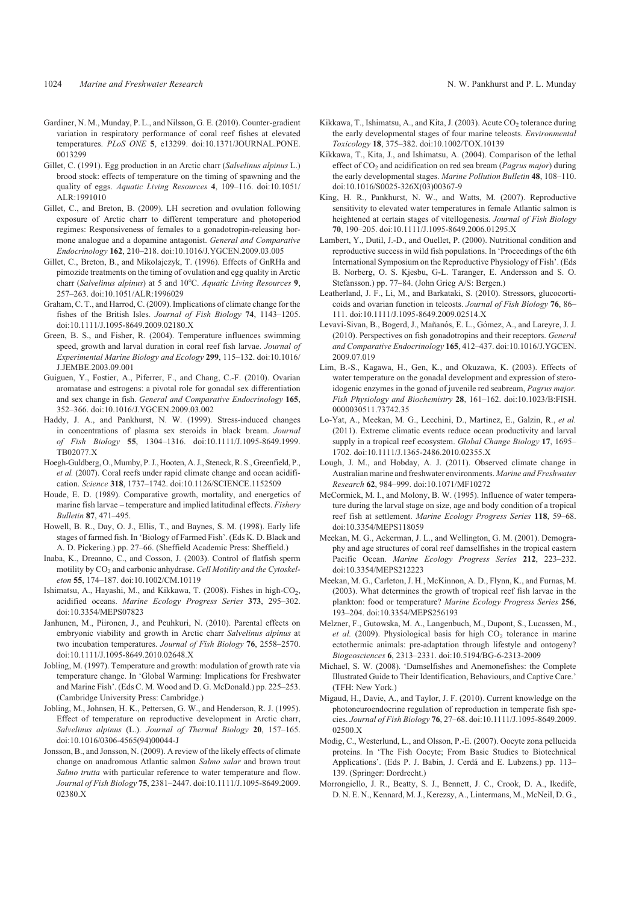- Gardiner, N. M., Munday, P. L., and Nilsson, G. E. (2010). Counter-gradient variation in respiratory performance of coral reef fishes at elevated temperatures. *PLoS ONE* **5**, e13299. doi:10.1371/JOURNAL.PONE. 0013299
- Gillet, C. (1991). Egg production in an Arctic charr (*Salvelinus alpinus* L.) brood stock: effects of temperature on the timing of spawning and the quality of eggs. *Aquatic Living Resources* **4**, 109–116. doi:10.1051/ ALR:1991010
- Gillet, C., and Breton, B. (2009). LH secretion and ovulation following exposure of Arctic charr to different temperature and photoperiod regimes: Responsiveness of females to a gonadotropin-releasing hormone analogue and a dopamine antagonist. *General and Comparative Endocrinology* **162**, 210–218. doi:10.1016/J.YGCEN.2009.03.005
- Gillet, C., Breton, B., and Mikolajczyk, T. (1996). Effects of GnRHa and pimozide treatments on the timing of ovulation and egg quality in Arctic charr (*Salvelinus alpinus*) at 5 and 10°C. *Aquatic Living Resources* 9, 257–263. doi:10.1051/ALR:1996029
- Graham, C. T., and Harrod, C. (2009). Implications of climate change for the fishes of the British Isles. *Journal of Fish Biology* **74**, 1143–1205. doi:10.1111/J.1095-8649.2009.02180.X
- Green, B. S., and Fisher, R. (2004). Temperature influences swimming speed, growth and larval duration in coral reef fish larvae. *Journal of Experimental Marine Biology and Ecology* **299**, 115–132. doi:10.1016/ J.JEMBE.2003.09.001
- Guiguen, Y., Fostier, A., Piferrer, F., and Chang, C.-F. (2010). Ovarian aromatase and estrogens: a pivotal role for gonadal sex differentiation and sex change in fish. *General and Comparative Endocrinology* **165**, 352–366. doi:10.1016/J.YGCEN.2009.03.002
- Haddy, J. A., and Pankhurst, N. W. (1999). Stress-induced changes in concentrations of plasma sex steroids in black bream. *Journal of Fish Biology* **55**, 1304–1316. doi:10.1111/J.1095-8649.1999. TB02077.X
- Hoegh-Guldberg, O., Mumby, P. J., Hooten, A. J., Steneck, R. S., Greenfield, P., *et al.* (2007). Coral reefs under rapid climate change and ocean acidification. *Science* **318**, 1737–1742. doi:10.1126/SCIENCE.1152509
- Houde, E. D. (1989). Comparative growth, mortality, and energetics of marine fish larvae – temperature and implied latitudinal effects. *Fishery Bulletin* **87**, 471–495.
- Howell, B. R., Day, O. J., Ellis, T., and Baynes, S. M. (1998). Early life stages of farmed fish. In 'Biology of Farmed Fish'. (Eds K. D. Black and A. D. Pickering.) pp. 27–66. (Sheffield Academic Press: Sheffield.)
- Inaba, K., Dreanno, C., and Cosson, J. (2003). Control of flatfish sperm motility by CO<sub>2</sub> and carbonic anhydrase. Cell Motility and the Cytoskel*eton* **55**, 174–187. doi:10.1002/CM.10119
- Ishimatsu, A., Hayashi, M., and Kikkawa, T. (2008). Fishes in high- $CO<sub>2</sub>$ , acidified oceans. *Marine Ecology Progress Series* **373**, 295–302. doi:10.3354/MEPS07823
- Janhunen, M., Piironen, J., and Peuhkuri, N. (2010). Parental effects on embryonic viability and growth in Arctic charr *Salvelinus alpinus* at two incubation temperatures. *Journal of Fish Biology* **76**, 2558–2570. doi:10.1111/J.1095-8649.2010.02648.X
- Jobling, M. (1997). Temperature and growth: modulation of growth rate via temperature change. In 'Global Warming: Implications for Freshwater and Marine Fish'. (Eds C. M. Wood and D. G. McDonald.) pp. 225–253. (Cambridge University Press: Cambridge.)
- Jobling, M., Johnsen, H. K., Pettersen, G. W., and Henderson, R. J. (1995). Effect of temperature on reproductive development in Arctic charr, *Salvelinus alpinus* (L.). *Journal of Thermal Biology* **20**, 157–165. doi:10.1016/0306-4565(94)00044-J
- Jonsson, B., and Jonsson, N. (2009). A review of the likely effects of climate change on anadromous Atlantic salmon *Salmo salar* and brown trout *Salmo trutta* with particular reference to water temperature and flow. *Journal of Fish Biology* **75**, 2381–2447. doi:10.1111/J.1095-8649.2009. 02380.X
- Kikkawa, T., Ishimatsu, A., and Kita, J. (2003). Acute  $CO<sub>2</sub>$  tolerance during the early developmental stages of four marine teleosts. *Environmental Toxicology* **18**, 375–382. doi:10.1002/TOX.10139
- Kikkawa, T., Kita, J., and Ishimatsu, A. (2004). Comparison of the lethal effect of CO<sub>2</sub> and acidification on red sea bream (*Pagrus major*) during the early developmental stages. *Marine Pollution Bulletin* **48**, 108–110. doi:10.1016/S0025-326X(03)00367-9
- King, H. R., Pankhurst, N. W., and Watts, M. (2007). Reproductive sensitivity to elevated water temperatures in female Atlantic salmon is heightened at certain stages of vitellogenesis. *Journal of Fish Biology* **70**, 190–205. doi:10.1111/J.1095-8649.2006.01295.X
- Lambert, Y., Dutil, J.-D., and Ouellet, P. (2000). Nutritional condition and reproductive success in wild fish populations. In 'Proceedings of the 6th International Symposium on the Reproductive Physiology of Fish'. (Eds B. Norberg, O. S. Kjesbu, G-L. Taranger, E. Andersson and S. O. Stefansson.) pp. 77–84. (John Grieg A/S: Bergen.)
- Leatherland, J. F., Li, M., and Barkataki, S. (2010). Stressors, glucocorticoids and ovarian function in teleosts. *Journal of Fish Biology* **76**, 86– 111. doi:10.1111/J.1095-8649.2009.02514.X
- Levavi-Sivan, B., Bogerd, J., Mañanós, E. L., Gómez, A., and Lareyre, J. J. (2010). Perspectives on fish gonadotropins and their receptors. *General and Comparative Endocrinology* **165**, 412–437. doi:10.1016/J.YGCEN. 2009.07.019
- Lim, B.-S., Kagawa, H., Gen, K., and Okuzawa, K. (2003). Effects of water temperature on the gonadal development and expression of steroidogenic enzymes in the gonad of juvenile red seabream, *Pagrus major. Fish Physiology and Biochemistry* **28**, 161–162. doi:10.1023/B:FISH. 0000030511.73742.35
- Lo-Yat, A., Meekan, M. G., Lecchini, D., Martinez, E., Galzin, R., *et al.* (2011). Extreme climatic events reduce ocean productivity and larval supply in a tropical reef ecosystem. *Global Change Biology* **17**, 1695– 1702. doi:10.1111/J.1365-2486.2010.02355.X
- Lough, J. M., and Hobday, A. J. (2011). Observed climate change in Australian marine and freshwater environments. *Marine and Freshwater Research* **62**, 984–999. doi:10.1071/MF10272
- McCormick, M. I., and Molony, B. W. (1995). Influence of water temperature during the larval stage on size, age and body condition of a tropical reef fish at settlement. *Marine Ecology Progress Series* **118**, 59–68. doi:10.3354/MEPS118059
- Meekan, M. G., Ackerman, J. L., and Wellington, G. M. (2001). Demography and age structures of coral reef damselfishes in the tropical eastern Pacific Ocean. *Marine Ecology Progress Series* **212**, 223–232. doi:10.3354/MEPS212223
- Meekan, M. G., Carleton, J. H., McKinnon, A. D., Flynn, K., and Furnas, M. (2003). What determines the growth of tropical reef fish larvae in the plankton: food or temperature? *Marine Ecology Progress Series* **256**, 193–204. doi:10.3354/MEPS256193
- Melzner, F., Gutowska, M. A., Langenbuch, M., Dupont, S., Lucassen, M., *et al.* (2009). Physiological basis for high  $CO<sub>2</sub>$  tolerance in marine ectothermic animals: pre-adaptation through lifestyle and ontogeny? *Biogeosciences* **6**, 2313–2331. doi:10.5194/BG-6-2313-2009
- Michael, S. W. (2008). 'Damselfishes and Anemonefishes: the Complete Illustrated Guide to Their Identification, Behaviours, and Captive Care.' (TFH: New York.)
- Migaud, H., Davie, A., and Taylor, J. F. (2010). Current knowledge on the photoneuroendocrine regulation of reproduction in temperate fish species. *Journal of Fish Biology* **76**, 27–68. doi:10.1111/J.1095-8649.2009. 02500.X
- Modig, C., Westerlund, L., and Olsson, P.-E. (2007). Oocyte zona pellucida proteins. In 'The Fish Oocyte; From Basic Studies to Biotechnical Applications'. (Eds P. J. Babin, J. Cerdá and E. Lubzens.) pp. 113– 139. (Springer: Dordrecht.)
- Morrongiello, J. R., Beatty, S. J., Bennett, J. C., Crook, D. A., Ikedife, D. N. E. N., Kennard, M. J., Kerezsy, A., Lintermans, M., McNeil, D. G.,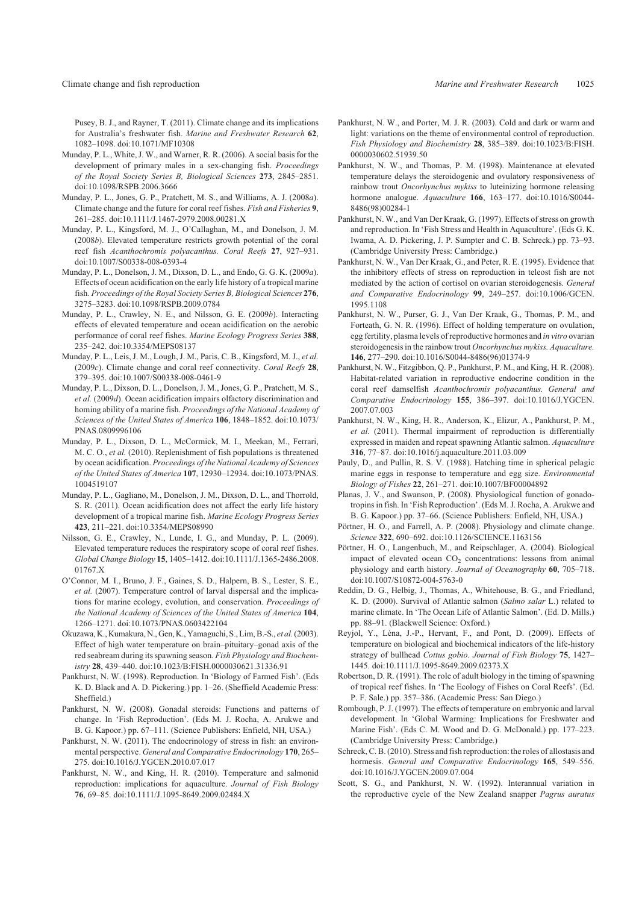Pusey, B. J., and Rayner, T. (2011). Climate change and its implications for Australia's freshwater fish. *Marine and Freshwater Research* **62**, 1082–1098. doi:10.1071/MF10308

- Munday, P. L., White, J. W., and Warner, R. R. (2006). A social basis for the development of primary males in a sex-changing fish. *Proceedings of the Royal Society Series B, Biological Sciences* **273**, 2845–2851. doi:10.1098/RSPB.2006.3666
- Munday, P. L., Jones, G. P., Pratchett, M. S., and Williams, A. J. (2008*a*). Climate change and the future for coral reef fishes. *Fish and Fisheries* **9**, 261–285. doi:10.1111/J.1467-2979.2008.00281.X
- Munday, P. L., Kingsford, M. J., O'Callaghan, M., and Donelson, J. M. (2008*b*). Elevated temperature restricts growth potential of the coral reef fish *Acanthochromis polyacanthus. Coral Reefs* **27**, 927–931. doi:10.1007/S00338-008-0393-4
- Munday, P. L., Donelson, J. M., Dixson, D. L., and Endo, G. G. K. (2009*a*). Effects of ocean acidification on the early life history of a tropical marine fish. *Proceedings of the Royal Society Series B, Biological Sciences* **276**, 3275–3283. doi:10.1098/RSPB.2009.0784
- Munday, P. L., Crawley, N. E., and Nilsson, G. E. (2009*b*). Interacting effects of elevated temperature and ocean acidification on the aerobic performance of coral reef fishes. *Marine Ecology Progress Series* **388**, 235–242. doi:10.3354/MEPS08137
- Munday, P. L., Leis, J. M., Lough, J. M., Paris, C. B., Kingsford, M. J., *et al.* (2009*c*). Climate change and coral reef connectivity. *Coral Reefs* **28**, 379–395. doi:10.1007/S00338-008-0461-9
- Munday, P. L., Dixson, D. L., Donelson, J. M., Jones, G. P., Pratchett, M. S., *et al.* (2009*d*). Ocean acidification impairs olfactory discrimination and homing ability of a marine fish. *Proceedings of the National Academy of Sciences of the United States of America* **106**, 1848–1852. doi:10.1073/ PNAS.0809996106
- Munday, P. L., Dixson, D. L., McCormick, M. I., Meekan, M., Ferrari, M. C. O., *et al.* (2010). Replenishment of fish populations is threatened by ocean acidification. *Proceedings of the National Academy of Sciences of the United States of America* **107**, 12930–12934. doi:10.1073/PNAS. 1004519107
- Munday, P. L., Gagliano, M., Donelson, J. M., Dixson, D. L., and Thorrold, S. R. (2011). Ocean acidification does not affect the early life history development of a tropical marine fish. *Marine Ecology Progress Series* **423**, 211–221. doi:10.3354/MEPS08990
- Nilsson, G. E., Crawley, N., Lunde, I. G., and Munday, P. L. (2009). Elevated temperature reduces the respiratory scope of coral reef fishes. *Global Change Biology* **15**, 1405–1412. doi:10.1111/J.1365-2486.2008. 01767.X
- O'Connor, M. I., Bruno, J. F., Gaines, S. D., Halpern, B. S., Lester, S. E., *et al.* (2007). Temperature control of larval dispersal and the implications for marine ecology, evolution, and conservation. *Proceedings of the National Academy of Sciences of the United States of America* **104**, 1266–1271. doi:10.1073/PNAS.0603422104
- Okuzawa, K., Kumakura, N., Gen, K., Yamaguchi, S., Lim, B.-S., *et al.*(2003). Effect of high water temperature on brain–pituitary–gonad axis of the red seabream during its spawning season. *Fish Physiology and Biochemistry* **28**, 439–440. doi:10.1023/B:FISH.0000030621.31336.91
- Pankhurst, N. W. (1998). Reproduction. In 'Biology of Farmed Fish'. (Eds K. D. Black and A. D. Pickering.) pp. 1–26. (Sheffield Academic Press: Sheffield.)
- Pankhurst, N. W. (2008). Gonadal steroids: Functions and patterns of change. In 'Fish Reproduction'. (Eds M. J. Rocha, A. Arukwe and B. G. Kapoor.) pp. 67–111. (Science Publishers: Enfield, NH, USA.)
- Pankhurst, N. W. (2011). The endocrinology of stress in fish: an environmental perspective. *General and Comparative Endocrinology* **170**, 265– 275. doi:10.1016/J.YGCEN.2010.07.017
- Pankhurst, N. W., and King, H. R. (2010). Temperature and salmonid reproduction: implications for aquaculture. *Journal of Fish Biology* **76**, 69–85. doi:10.1111/J.1095-8649.2009.02484.X
- Pankhurst, N. W., and Porter, M. J. R. (2003). Cold and dark or warm and light: variations on the theme of environmental control of reproduction. *Fish Physiology and Biochemistry* **28**, 385–389. doi:10.1023/B:FISH. 0000030602.51939.50
- Pankhurst, N. W., and Thomas, P. M. (1998). Maintenance at elevated temperature delays the steroidogenic and ovulatory responsiveness of rainbow trout *Oncorhynchus mykiss* to luteinizing hormone releasing hormone analogue. *Aquaculture* **166**, 163–177. doi:10.1016/S0044- 8486(98)00284-1
- Pankhurst, N. W., and Van Der Kraak, G. (1997). Effects of stress on growth and reproduction. In 'Fish Stress and Health in Aquaculture'. (Eds G. K. Iwama, A. D. Pickering, J. P. Sumpter and C. B. Schreck.) pp. 73–93. (Cambridge University Press: Cambridge.)
- Pankhurst, N. W., Van Der Kraak, G., and Peter, R. E. (1995). Evidence that the inhibitory effects of stress on reproduction in teleost fish are not mediated by the action of cortisol on ovarian steroidogenesis. *General and Comparative Endocrinology* **99**, 249–257. doi:10.1006/GCEN. 1995.1108
- Pankhurst, N. W., Purser, G. J., Van Der Kraak, G., Thomas, P. M., and Forteath, G. N. R. (1996). Effect of holding temperature on ovulation, egg fertility, plasma levels of reproductive hormones and *in vitro* ovarian steroidogenesis in the rainbow trout *Oncorhynchus mykiss. Aquaculture.* **146**, 277–290. doi:10.1016/S0044-8486(96)01374-9
- Pankhurst, N. W., Fitzgibbon, Q. P., Pankhurst, P. M., and King, H. R. (2008). Habitat-related variation in reproductive endocrine condition in the coral reef damselfish *Acanthochromis polyacanthus. General and Comparative Endocrinology* **155**, 386–397. doi:10.1016/J.YGCEN. 2007.07.003
- Pankhurst, N. W., King, H. R., Anderson, K., Elizur, A., Pankhurst, P. M., *et al.* (2011). Thermal impairment of reproduction is differentially expressed in maiden and repeat spawning Atlantic salmon. *Aquaculture* **316**, 77–87. doi:10.1016/j.aquaculture.2011.03.009
- Pauly, D., and Pullin, R. S. V. (1988). Hatching time in spherical pelagic marine eggs in response to temperature and egg size. *Environmental Biology of Fishes* **22**, 261–271. doi:10.1007/BF00004892
- Planas, J. V., and Swanson, P. (2008). Physiological function of gonadotropins in fish. In 'Fish Reproduction'. (Eds M. J. Rocha, A. Arukwe and B. G. Kapoor.) pp. 37–66. (Science Publishers: Enfield, NH, USA.)
- Pörtner, H. O., and Farrell, A. P. (2008). Physiology and climate change. *Science* **322**, 690–692. doi:10.1126/SCIENCE.1163156
- Pörtner, H. O., Langenbuch, M., and Reipschlager, A. (2004). Biological impact of elevated ocean  $CO<sub>2</sub>$  concentrations: lessons from animal physiology and earth history. *Journal of Oceanography* **60**, 705–718. doi:10.1007/S10872-004-5763-0
- Reddin, D. G., Helbig, J., Thomas, A., Whitehouse, B. G., and Friedland, K. D. (2000). Survival of Atlantic salmon (*Salmo salar* L.) related to marine climate. In 'The Ocean Life of Atlantic Salmon'. (Ed. D. Mills.) pp. 88–91. (Blackwell Science: Oxford.)
- Reyjol, Y., Léna, J.-P., Hervant, F., and Pont, D. (2009). Effects of temperature on biological and biochemical indicators of the life-history strategy of bullhead *Cottus gobio. Journal of Fish Biology* **75**, 1427– 1445. doi:10.1111/J.1095-8649.2009.02373.X
- Robertson, D. R. (1991). The role of adult biology in the timing of spawning of tropical reef fishes. In 'The Ecology of Fishes on Coral Reefs'. (Ed. P. F. Sale.) pp. 357–386. (Academic Press: San Diego.)
- Rombough, P. J. (1997). The effects of temperature on embryonic and larval development. In 'Global Warming: Implications for Freshwater and Marine Fish'. (Eds C. M. Wood and D. G. McDonald.) pp. 177–223. (Cambridge University Press: Cambridge.)
- Schreck, C. B. (2010). Stress and fish reproduction: the roles of allostasis and hormesis. *General and Comparative Endocrinology* **165**, 549–556. doi:10.1016/J.YGCEN.2009.07.004
- Scott, S. G., and Pankhurst, N. W. (1992). Interannual variation in the reproductive cycle of the New Zealand snapper *Pagrus auratus*